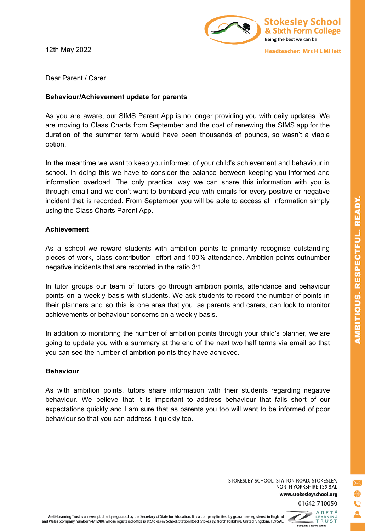12th May 2022



**Headteacher: Mrs H L Millett** 

Dear Parent / Carer

## **Behaviour/Achievement update for parents**

As you are aware, our SIMS Parent App is no longer providing you with daily updates. We are moving to Class Charts from September and the cost of renewing the SIMS app for the duration of the summer term would have been thousands of pounds, so wasn't a viable option.

In the meantime we want to keep you informed of your child's achievement and behaviour in school. In doing this we have to consider the balance between keeping you informed and information overload. The only practical way we can share this information with you is through email and we don't want to bombard you with emails for every positive or negative incident that is recorded. From September you will be able to access all information simply using the Class Charts Parent App.

## **Achievement**

As a school we reward students with ambition points to primarily recognise outstanding pieces of work, class contribution, effort and 100% attendance. Ambition points outnumber negative incidents that are recorded in the ratio 3:1.

In tutor groups our team of tutors go through ambition points, attendance and behaviour points on a weekly basis with students. We ask students to record the number of points in their planners and so this is one area that you, as parents and carers, can look to monitor achievements or behaviour concerns on a weekly basis.

In addition to monitoring the number of ambition points through your child's planner, we are going to update you with a summary at the end of the next two half terms via email so that you can see the number of ambition points they have achieved.

## **Behaviour**

As with ambition points, tutors share information with their students regarding negative behaviour. We believe that it is important to address behaviour that falls short of our expectations quickly and I am sure that as parents you too will want to be informed of poor behaviour so that you can address it quickly too.

STOKESLEY SCHOOL, STATION ROAD, STOKESLEY, NORTH YORKSHIRE TS9 5AL www.stokesleyschool.org